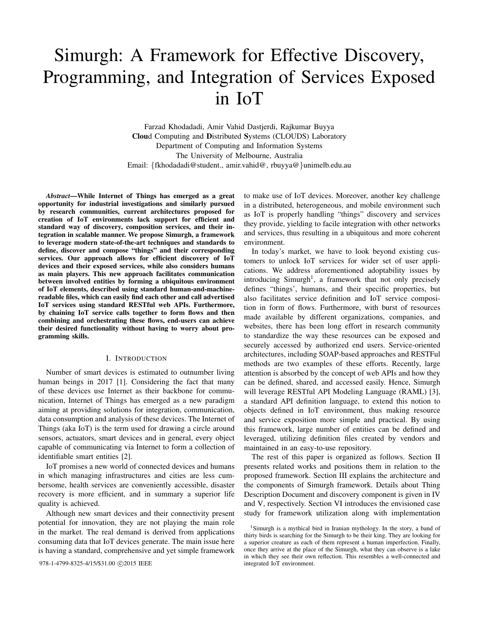# Simurgh: A Framework for Effective Discovery, Programming, and Integration of Services Exposed in IoT

Farzad Khodadadi, Amir Vahid Dastjerdi, Rajkumar Buyya Cloud Computing and Distributed Systems (CLOUDS) Laboratory Department of Computing and Information Systems The University of Melbourne, Australia Email: {fkhodadadi@student., amir.vahid@, rbuyya@}unimelb.edu.au

*Abstract*—While Internet of Things has emerged as a great opportunity for industrial investigations and similarly pursued by research communities, current architectures proposed for creation of IoT environments lack support for efficient and standard way of discovery, composition services, and their integration in scalable manner. We propose Simurgh, a framework to leverage modern state-of-the-art techniques and standards to define, discover and compose "things" and their corresponding services. Our approach allows for efficient discovery of IoT devices and their exposed services, while also considers humans as main players. This new approach facilitates communication between involved entities by forming a ubiquitous environment of IoT elements, described using standard human-and-machinereadable files, which can easily find each other and call advertised IoT services using standard RESTful web APIs. Furthermore, by chaining IoT service calls together to form flows and then combining and orchestrating these flows, end-users can achieve their desired functionality without having to worry about programming skills.

#### I. INTRODUCTION

Number of smart devices is estimated to outnumber living human beings in 2017 [1]. Considering the fact that many of these devices use Internet as their backbone for communication, Internet of Things has emerged as a new paradigm aiming at providing solutions for integration, communication, data consumption and analysis of these devices. The Internet of Things (aka IoT) is the term used for drawing a circle around sensors, actuators, smart devices and in general, every object capable of communicating via Internet to form a collection of identifiable smart entities [2].

IoT promises a new world of connected devices and humans in which managing infrastructures and cities are less cumbersome, health services are conveniently accessible, disaster recovery is more efficient, and in summary a superior life quality is achieved.

Although new smart devices and their connectivity present potential for innovation, they are not playing the main role in the market. The real demand is derived from applications consuming data that IoT devices generate. The main issue here is having a standard, comprehensive and yet simple framework

978-1-4799-8325-4/15/\$31.00 ©2015 IEEE

to make use of IoT devices. Moreover, another key challenge in a distributed, heterogeneous, and mobile environment such as IoT is properly handling "things" discovery and services they provide, yielding to facile integration with other networks and services, thus resulting in a ubiquitous and more coherent environment.

In today's market, we have to look beyond existing customers to unlock IoT services for wider set of user applications. We address aforementioned adoptability issues by introducing Simurgh<sup>1</sup>, a framework that not only precisely defines "things', humans, and their specific properties, but also facilitates service definition and IoT service composition in form of flows. Furthermore, with burst of resources made available by different organizations, companies, and websites, there has been long effort in research community to standardize the way these resources can be exposed and securely accessed by authorized end users. Service-oriented architectures, including SOAP-based approaches and RESTFul methods are two examples of these efforts. Recently, large attention is absorbed by the concept of web APIs and how they can be defined, shared, and accessed easily. Hence, Simurgh will leverage RESTful API Modeling Language (RAML) [3], a standard API definition language, to extend this notion to objects defined in IoT environment, thus making resource and service exposition more simple and practical. By using this framework, large number of entities can be defined and leveraged, utilizing definition files created by vendors and maintained in an easy-to-use repository.

The rest of this paper is organized as follows. Section II presents related works and positions them in relation to the proposed framework. Section III explains the architecture and the components of Simurgh framework. Details about Thing Description Document and discovery component is given in IV and V, respectively. Section VI introduces the envisioned case study for framework utilization along with implementation

<sup>&</sup>lt;sup>1</sup>Simurgh is a mythical bird in Iranian mythology. In the story, a band of thirty birds is searching for the Simurgh to be their king. They are looking for a superior creature as each of them represent a human imperfection. Finally, once they arrive at the place of the Simurgh, what they can observe is a lake in which they see their own reflection. This resembles a well-connected and integrated IoT environment.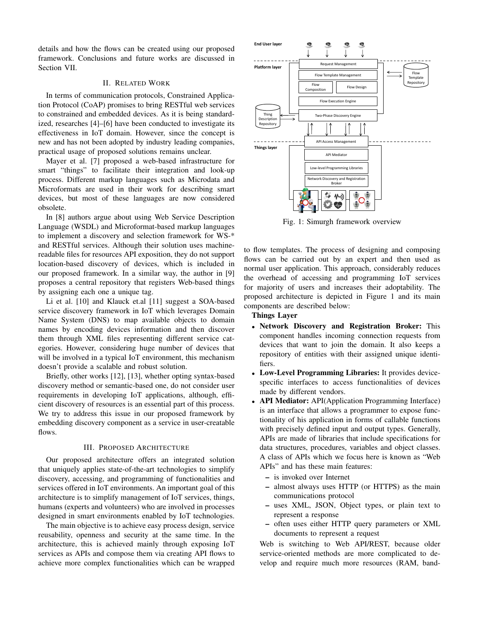details and how the flows can be created using our proposed framework. Conclusions and future works are discussed in Section VII.

# II. RELATED WORK

In terms of communication protocols, Constrained Application Protocol (CoAP) promises to bring RESTful web services to constrained and embedded devices. As it is being standardized, researches [4]–[6] have been conducted to investigate its effectiveness in IoT domain. However, since the concept is new and has not been adopted by industry leading companies, practical usage of proposed solutions remains unclear.

Mayer et al. [7] proposed a web-based infrastructure for smart "things" to facilitate their integration and look-up process. Different markup languages such as Microdata and Microformats are used in their work for describing smart devices, but most of these languages are now considered obsolete.

In [8] authors argue about using Web Service Description Language (WSDL) and Microformat-based markup languages to implement a discovery and selection framework for WS-\* and RESTful services. Although their solution uses machinereadable files for resources API exposition, they do not support location-based discovery of devices, which is included in our proposed framework. In a similar way, the author in [9] proposes a central repository that registers Web-based things by assigning each one a unique tag.

Li et al. [10] and Klauck et.al [11] suggest a SOA-based service discovery framework in IoT which leverages Domain Name System (DNS) to map available objects to domain names by encoding devices information and then discover them through XML files representing different service categories. However, considering huge number of devices that will be involved in a typical IoT environment, this mechanism doesn't provide a scalable and robust solution.

Briefly, other works [12], [13], whether opting syntax-based discovery method or semantic-based one, do not consider user requirements in developing IoT applications, although, efficient discovery of resources is an essential part of this process. We try to address this issue in our proposed framework by embedding discovery component as a service in user-creatable flows.

# III. PROPOSED ARCHITECTURE

Our proposed architecture offers an integrated solution that uniquely applies state-of-the-art technologies to simplify discovery, accessing, and programming of functionalities and services offered in IoT environments. An important goal of this architecture is to simplify management of IoT services, things, humans (experts and volunteers) who are involved in processes designed in smart environments enabled by IoT technologies.

The main objective is to achieve easy process design, service reusability, openness and security at the same time. In the architecture, this is achieved mainly through exposing IoT services as APIs and compose them via creating API flows to achieve more complex functionalities which can be wrapped



Fig. 1: Simurgh framework overview

to flow templates. The process of designing and composing flows can be carried out by an expert and then used as normal user application. This approach, considerably reduces the overhead of accessing and programming IoT services for majority of users and increases their adoptability. The proposed architecture is depicted in Figure 1 and its main components are described below:

# Things Layer

- Network Discovery and Registration Broker: This component handles incoming connection requests from devices that want to join the domain. It also keeps a repository of entities with their assigned unique identifiers.
- Low-Level Programming Libraries: It provides devicespecific interfaces to access functionalities of devices made by different vendors.
- API Mediator: API(Application Programming Interface) is an interface that allows a programmer to expose functionality of his application in forms of callable functions with precisely defined input and output types. Generally, APIs are made of libraries that include specifications for data structures, procedures, variables and object classes. A class of APIs which we focus here is known as "Web APIs" and has these main features:
	- is invoked over Internet
	- almost always uses HTTP (or HTTPS) as the main communications protocol
	- uses XML, JSON, Object types, or plain text to represent a response
	- often uses either HTTP query parameters or XML documents to represent a request

Web is switching to Web API/REST, because older service-oriented methods are more complicated to develop and require much more resources (RAM, band-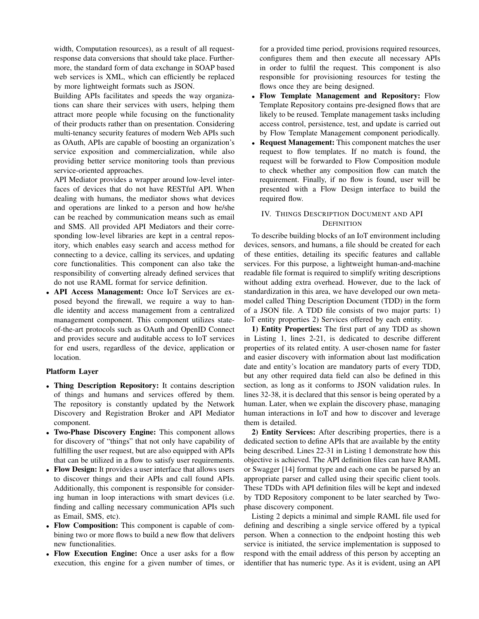width, Computation resources), as a result of all requestresponse data conversions that should take place. Furthermore, the standard form of data exchange in SOAP based web services is XML, which can efficiently be replaced by more lightweight formats such as JSON.

Building APIs facilitates and speeds the way organizations can share their services with users, helping them attract more people while focusing on the functionality of their products rather than on presentation. Considering multi-tenancy security features of modern Web APIs such as OAuth, APIs are capable of boosting an organization's service exposition and commercialization, while also providing better service monitoring tools than previous service-oriented approaches.

API Mediator provides a wrapper around low-level interfaces of devices that do not have RESTful API. When dealing with humans, the mediator shows what devices and operations are linked to a person and how he/she can be reached by communication means such as email and SMS. All provided API Mediators and their corresponding low-level libraries are kept in a central repository, which enables easy search and access method for connecting to a device, calling its services, and updating core functionalities. This component can also take the responsibility of converting already defined services that do not use RAML format for service definition.

• API Access Management: Once IoT Services are exposed beyond the firewall, we require a way to handle identity and access management from a centralized management component. This component utilizes stateof-the-art protocols such as OAuth and OpenID Connect and provides secure and auditable access to IoT services for end users, regardless of the device, application or location.

# Platform Layer

- Thing Description Repository: It contains description of things and humans and services offered by them. The repository is constantly updated by the Network Discovery and Registration Broker and API Mediator component.
- Two-Phase Discovery Engine: This component allows for discovery of "things" that not only have capability of fulfilling the user request, but are also equipped with APIs that can be utilized in a flow to satisfy user requirements.
- Flow Design: It provides a user interface that allows users to discover things and their APIs and call found APIs. Additionally, this component is responsible for considering human in loop interactions with smart devices (i.e. finding and calling necessary communication APIs such as Email, SMS, etc).
- Flow Composition: This component is capable of combining two or more flows to build a new flow that delivers new functionalities.
- Flow Execution Engine: Once a user asks for a flow execution, this engine for a given number of times, or

for a provided time period, provisions required resources, configures them and then execute all necessary APIs in order to fulfil the request. This component is also responsible for provisioning resources for testing the flows once they are being designed.

- Flow Template Management and Repository: Flow Template Repository contains pre-designed flows that are likely to be reused. Template management tasks including access control, persistence, test, and update is carried out by Flow Template Management component periodically.
- **Request Management:** This component matches the user request to flow templates. If no match is found, the request will be forwarded to Flow Composition module to check whether any composition flow can match the requirement. Finally, if no flow is found, user will be presented with a Flow Design interface to build the required flow.

# IV. THINGS DESCRIPTION DOCUMENT AND API **DEFINITION**

To describe building blocks of an IoT environment including devices, sensors, and humans, a file should be created for each of these entities, detailing its specific features and callable services. For this purpose, a lightweight human-and-machine readable file format is required to simplify writing descriptions without adding extra overhead. However, due to the lack of standardization in this area, we have developed our own metamodel called Thing Description Document (TDD) in the form of a JSON file. A TDD file consists of two major parts: 1) IoT entity properties 2) Services offered by each entity.

1) Entity Properties: The first part of any TDD as shown in Listing 1, lines 2-21, is dedicated to describe different properties of its related entity. A user-chosen name for faster and easier discovery with information about last modification date and entity's location are mandatory parts of every TDD, but any other required data field can also be defined in this section, as long as it conforms to JSON validation rules. In lines 32-38, it is declared that this sensor is being operated by a human. Later, when we explain the discovery phase, managing human interactions in IoT and how to discover and leverage them is detailed.

2) Entity Services: After describing properties, there is a dedicated section to define APIs that are available by the entity being described. Lines 22-31 in Listing 1 demonstrate how this objective is achieved. The API definition files can have RAML or Swagger [14] format type and each one can be parsed by an appropriate parser and called using their specific client tools. These TDDs with API definition files will be kept and indexed by TDD Repository component to be later searched by Twophase discovery component.

Listing 2 depicts a minimal and simple RAML file used for defining and describing a single service offered by a typical person. When a connection to the endpoint hosting this web service is initiated, the service implementation is supposed to respond with the email address of this person by accepting an identifier that has numeric type. As it is evident, using an API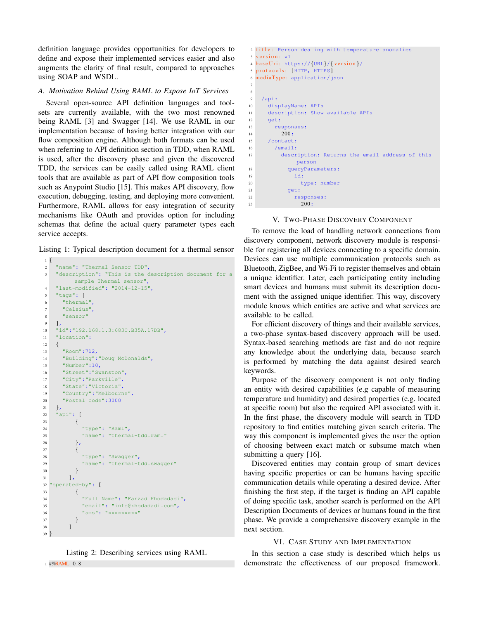definition language provides opportunities for developers to define and expose their implemented services easier and also augments the clarity of final result, compared to approaches using SOAP and WSDL.

## *A. Motivation Behind Using RAML to Expose IoT Services*

Several open-source API definition languages and toolsets are currently available, with the two most renowned being RAML [3] and Swagger [14]. We use RAML in our implementation because of having better integration with our flow composition engine. Although both formats can be used when referring to API definition section in TDD, when RAML is used, after the discovery phase and given the discovered TDD, the services can be easily called using RAML client tools that are available as part of API flow composition tools such as Anypoint Studio [15]. This makes API discovery, flow execution, debugging, testing, and deploying more convenient. Furthermore, RAML allows for easy integration of security mechanisms like OAuth and provides option for including schemas that define the actual query parameter types each service accepts.

Listing 1: Typical description document for a thermal sensor

```
1 {
2 "name": "Thermal Sensor TDD",
3 "description": "This is the description document for a
        sample Thermal sensor",
4 "last-modified": "2014-12-15",
5 "tags": [
6 "thermal",
7 "Celsius",
8 "sensor"
9 ],
10 "id":"192.168.1.3:683C.B35A.17DB",
11 "location":
12 \frac{1}{2}13 "Room":712,
14 "Building":"Doug McDonalds",
15 "Number":10,
16 "Street":"Swanston",
17 "City":"Parkville",
18 "State":"Victoria",
19 "Country":"Melbourne",
20 "Postal code":3000
21 \quad \},
22 "api": [
23 \left\{ \begin{array}{ccc} 2 & 2 & 1 \\ 1 & 2 & 1 \\ 2 & 2 & 2 \end{array} \right.24 "type": "Raml",
25 "name": "thermal-tdd.raml"
26 \quad \frac{1}{2}27 {
28 "type": "Swagger",
29 "name": "thermal-tdd.swagger"
30 }
31 \quad \boxed{\phantom{1}}32 "operated-by": [
33 {
34 "Full Name": "Farzad Khodadadi",
35 "email": "info@khodadadi.com",
36 "sms": "xxxxxxxxxx"
37 }
38 ]
39 }
```
Listing 2: Describing services using RAML 1 #%RAML 0.8

```
2 title: Person dealing with temperature anomalies
3 version: v1
4 baseUri: https://{URL}/{ version }/
5 protocols: [HTTP, HTTPS]
6 mediaType: application/json
7
8
9 /api:
10 displayName: APIs
11 description: Show available APIs
12 \qquad \text{get}:13 responses:
14 200:
15 /contact:
16 /email:
17 description: Returns the email address of this
           person
18 queryParameters:
19 id:
20 type: number
21 get:
22 responses:
23 200:
```
## V. TWO-PHASE DISCOVERY COMPONENT

To remove the load of handling network connections from discovery component, network discovery module is responsible for registering all devices connecting to a specific domain. Devices can use multiple communication protocols such as Bluetooth, ZigBee, and Wi-Fi to register themselves and obtain a unique identifier. Later, each participating entity including smart devices and humans must submit its description document with the assigned unique identifier. This way, discovery module knows which entities are active and what services are available to be called.

For efficient discovery of things and their available services, a two-phase syntax-based discovery approach will be used. Syntax-based searching methods are fast and do not require any knowledge about the underlying data, because search is performed by matching the data against desired search keywords.

Purpose of the discovery component is not only finding an entity with desired capabilities (e.g capable of measuring temperature and humidity) and desired properties (e.g. located at specific room) but also the required API associated with it. In the first phase, the discovery module will search in TDD repository to find entities matching given search criteria. The way this component is implemented gives the user the option of choosing between exact match or subsume match when submitting a query [16].

Discovered entities may contain group of smart devices having specific properties or can be humans having specific communication details while operating a desired device. After finishing the first step, if the target is finding an API capable of doing specific task, another search is performed on the API Description Documents of devices or humans found in the first phase. We provide a comprehensive discovery example in the next section.

### VI. CASE STUDY AND IMPLEMENTATION

In this section a case study is described which helps us demonstrate the effectiveness of our proposed framework.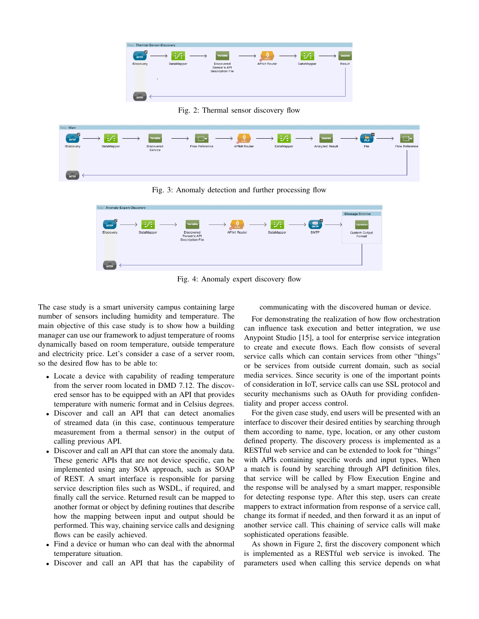

Fig. 2: Thermal sensor discovery flow



Fig. 3: Anomaly detection and further processing flow



Fig. 4: Anomaly expert discovery flow

The case study is a smart university campus containing large number of sensors including humidity and temperature. The main objective of this case study is to show how a building manager can use our framework to adjust temperature of rooms dynamically based on room temperature, outside temperature and electricity price. Let's consider a case of a server room, so the desired flow has to be able to:

- Locate a device with capability of reading temperature from the server room located in DMD 7.12. The discovered sensor has to be equipped with an API that provides temperature with numeric format and in Celsius degrees.
- Discover and call an API that can detect anomalies of streamed data (in this case, continuous temperature measurement from a thermal sensor) in the output of calling previous API.
- Discover and call an API that can store the anomaly data. These generic APIs that are not device specific, can be implemented using any SOA approach, such as SOAP of REST. A smart interface is responsible for parsing service description files such as WSDL, if required, and finally call the service. Returned result can be mapped to another format or object by defining routines that describe how the mapping between input and output should be performed. This way, chaining service calls and designing flows can be easily achieved.
- Find a device or human who can deal with the abnormal temperature situation.
- Discover and call an API that has the capability of

communicating with the discovered human or device.

For demonstrating the realization of how flow orchestration can influence task execution and better integration, we use Anypoint Studio [15], a tool for enterprise service integration to create and execute flows. Each flow consists of several service calls which can contain services from other "things" or be services from outside current domain, such as social media services. Since security is one of the important points of consideration in IoT, service calls can use SSL protocol and security mechanisms such as OAuth for providing confidentiality and proper access control.

For the given case study, end users will be presented with an interface to discover their desired entities by searching through them according to name, type, location, or any other custom defined property. The discovery process is implemented as a RESTful web service and can be extended to look for "things" with APIs containing specific words and input types. When a match is found by searching through API definition files, that service will be called by Flow Execution Engine and the response will be analysed by a smart mapper, responsible for detecting response type. After this step, users can create mappers to extract information from response of a service call, change its format if needed, and then forward it as an input of another service call. This chaining of service calls will make sophisticated operations feasible.

As shown in Figure 2, first the discovery component which is implemented as a RESTful web service is invoked. The parameters used when calling this service depends on what